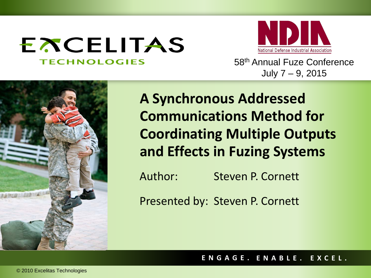# **EXCELITAS TECHNOLOGIES**



58th Annual Fuze Conference July 7 – 9, 2015



**A Synchronous Addressed Communications Method for Coordinating Multiple Outputs and Effects in Fuzing Systems**

Author: Steven P. Cornett

Presented by: Steven P. Cornett

**ENGAGE. ENABLE. EXCEL.**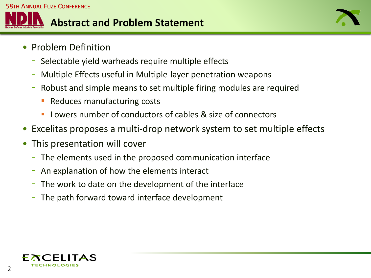

- Problem Definition
	- Selectable yield warheads require multiple effects
	- Multiple Effects useful in Multiple-layer penetration weapons
	- Robust and simple means to set multiple firing modules are required
		- Reduces manufacturing costs
		- Lowers number of conductors of cables & size of connectors
- Excelitas proposes a multi-drop network system to set multiple effects
- This presentation will cover
	- The elements used in the proposed communication interface
	- An explanation of how the elements interact
	- The work to date on the development of the interface
	- The path forward toward interface development

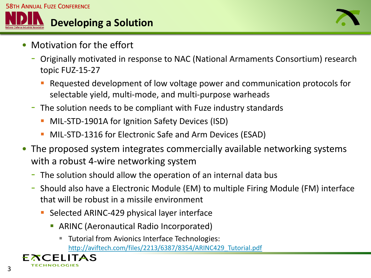



- Motivation for the effort
	- Originally motivated in response to NAC (National Armaments Consortium) research topic FUZ-15-27
		- Requested development of low voltage power and communication protocols for selectable yield, multi-mode, and multi-purpose warheads
	- The solution needs to be compliant with Fuze industry standards
		- **MIL-STD-1901A for Ignition Safety Devices (ISD)**
		- MIL-STD-1316 for Electronic Safe and Arm Devices (ESAD)
- The proposed system integrates commercially available networking systems with a robust 4-wire networking system
	- The solution should allow the operation of an internal data bus
	- Should also have a Electronic Module (EM) to multiple Firing Module (FM) interface that will be robust in a missile environment
		- **Selected ARINC-429 physical layer interface** 
			- ARINC (Aeronautical Radio Incorporated)
				- **Tutorial from Avionics Interface Technologies:** [http://aviftech.com/files/2213/6387/8354/ARINC429\\_Tutorial.pdf](http://aviftech.com/files/2213/6387/8354/ARINC429_Tutorial.pdf)

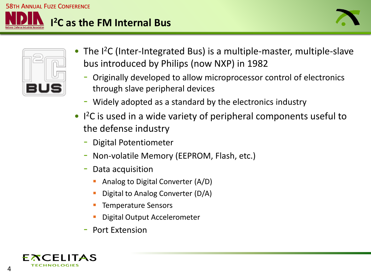



- The I<sup>2</sup>C (Inter-Integrated Bus) is a multiple-master, multiple-slave bus introduced by Philips (now NXP) in 1982
	- Originally developed to allow microprocessor control of electronics through slave peripheral devices
	- Widely adopted as a standard by the electronics industry
- I 2C is used in a wide variety of peripheral components useful to the defense industry
	- Digital Potentiometer
	- Non-volatile Memory (EEPROM, Flash, etc.)
	- Data acquisition
		- Analog to Digital Converter (A/D)
		- Digital to Analog Converter (D/A)
		- Temperature Sensors
		- Digital Output Accelerometer
	- Port Extension

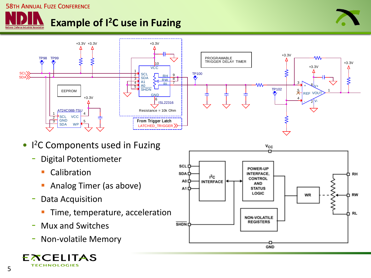



- I<sup>2</sup>C Components used in Fuzing
	- Digital Potentiometer
		- **Calibration**
		- **Analog Timer (as above)**
	- Data Acquisition
		- Time, temperature, acceleration
	- Mux and Switches
	- Non-volatile Memory





5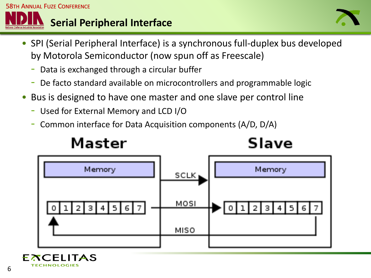



- SPI (Serial Peripheral Interface) is a synchronous full-duplex bus developed by Motorola Semiconductor (now spun off as Freescale)
	- Data is exchanged through a circular buffer
	- De facto standard available on microcontrollers and programmable logic
- Bus is designed to have one master and one slave per control line
	- Used for External Memory and LCD I/O
	- Common interface for Data Acquisition components (A/D, D/A)

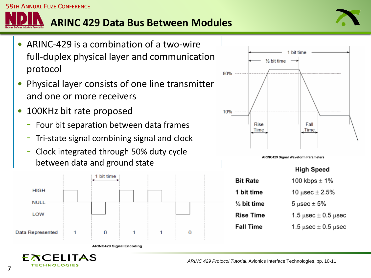## **ARINC 429 Data Bus Between Modules**



- ARINC-429 is a combination of a two-wire full-duplex physical layer and communication protocol
- Physical layer consists of one line transmitter and one or more receivers
- 100KHz bit rate proposed

**58TH ANNUAL FUZE CONFERENCE** 

- Four bit separation between data frames
- Tri-state signal combining signal and clock
- Clock integrated through 50% duty cycle between data and ground state





**ARINC429 Signal Waveform Parameters** 

|                        | <b>High Speed</b>                 |
|------------------------|-----------------------------------|
| <b>Bit Rate</b>        | 100 kbps $\pm$ 1%                 |
| 1 bit time             | 10 $\mu$ sec $\pm 2.5\%$          |
| $\frac{1}{2}$ bit time | 5 µsec $\pm$ 5%                   |
| <b>Rise Time</b>       | 1.5 $\mu$ sec $\pm$ 0.5 $\mu$ sec |
| <b>Fall Time</b>       | 1.5 $\mu$ sec $\pm$ 0.5 $\mu$ sec |
|                        |                                   |

**ARINC429 Signal Encoding** 

FXCELITAS **TECHNOLOGIES** 

*ARINC 429 Protocol Tutorial*. Avionics Interface Technologies, pp. 10-11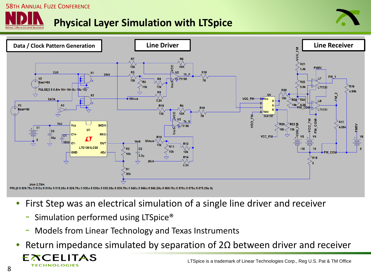#### 58TH ANNUAL FUZE CONFERENCE

### **Physical Layer Simulation with LTSpice**





- First Step was an electrical simulation of a single line driver and receiver
	- Simulation performed using LTSpice<sup>®</sup>
	- Models from Linear Technology and Texas Instruments
- Return impedance simulated by separation of  $2\Omega$  between driver and receiver

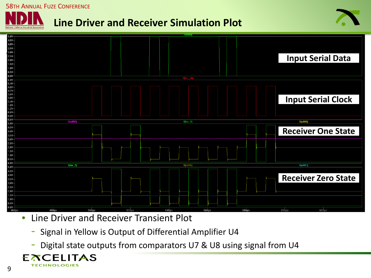#### 58TH ANNUAL FUZE CONFERENCE

#### **Line Driver and Receiver Simulation Plot**





- Line Driver and Receiver Transient Plot
	- Signal in Yellow is Output of Differential Amplifier U4
	- Digital state outputs from comparators U7 & U8 using signal from U4

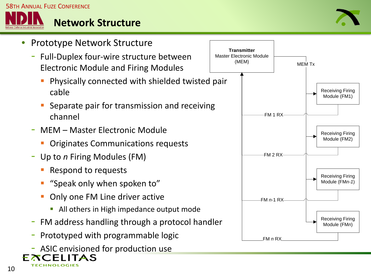

#### **Network Structure**



- Prototype Network Structure
	- Full-Duplex four-wire structure between Electronic Module and Firing Modules
		- Physically connected with shielded twisted pair cable
		- Separate pair for transmission and receiving channel
	- MEM Master Electronic Module
		- Originates Communications requests
	- Up to *n* Firing Modules (FM)
		- Respond to requests
		- "Speak only when spoken to"
		- Only one FM Line driver active
			- All others in High impedance output mode
	- FM address handling through a protocol handler
	- Prototyped with programmable logic
- ASIC envisioned for production use **FXCELITAS**



**TECHNOLOGIES**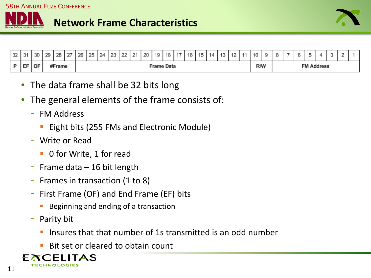



| 32 | 31 | 30   | 29 | 28 | 27                   | 26 | 25 24 |  | 23 22 |  | $\begin{array}{c} 21 \end{array}$ | $\frac{1}{20}$ |  | 19   18 | 17  | 16 | 15 | 14 | 13                | $\sim$ | -4.4 | 10 | o | $\overline{\phantom{a}}$ |  |  |  |  |
|----|----|------|----|----|----------------------|----|-------|--|-------|--|-----------------------------------|----------------|--|---------|-----|----|----|----|-------------------|--------|------|----|---|--------------------------|--|--|--|--|
|    | EF | ∶∣oF |    |    | #Frame<br>Frame Data |    |       |  |       |  |                                   |                |  |         | R/W |    |    |    | <b>FM Address</b> |        |      |    |   |                          |  |  |  |  |

- The data frame shall be 32 bits long
- The general elements of the frame consists of:
	- FM Address
		- Eight bits (255 FMs and Electronic Module)
	- Write or Read
		- 0 for Write, 1 for read
	- Frame data  $-$  16 bit length
	- Frames in transaction (1 to 8)
	- First Frame (OF) and End Frame (EF) bits
		- Beginning and ending of a transaction
	- Parity bit
		- Insures that that number of 1s transmitted is an odd number
		- Bit set or cleared to obtain count

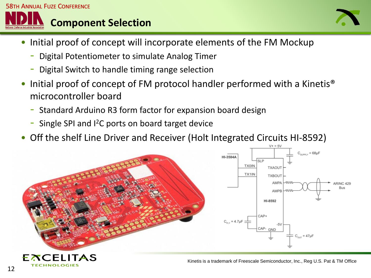



- Initial proof of concept will incorporate elements of the FM Mockup
	- Digital Potentiometer to simulate Analog Timer
	- Digital Switch to handle timing range selection
- Initial proof of concept of FM protocol handler performed with a Kinetis® microcontroller board
	- Standard Arduino R3 form factor for expansion board design
	- Single SPI and  $I^2C$  ports on board target device
- Off the shelf Line Driver and Receiver (Holt Integrated Circuits HI-8592)



**TECHNOLOGIES**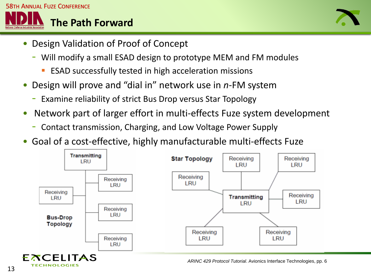



- Design Validation of Proof of Concept
	- Will modify a small ESAD design to prototype MEM and FM modules
		- ESAD successfully tested in high acceleration missions
- Design will prove and "dial in" network use in *n*-FM system
	- Examine reliability of strict Bus Drop versus Star Topology
- Network part of larger effort in multi-effects Fuze system development
	- Contact transmission, Charging, and Low Voltage Power Supply
- Goal of a cost-effective, highly manufacturable multi-effects Fuze



*ARINC 429 Protocol Tutorial*. Avionics Interface Technologies, pp. 6

**TECHNOLOGIES**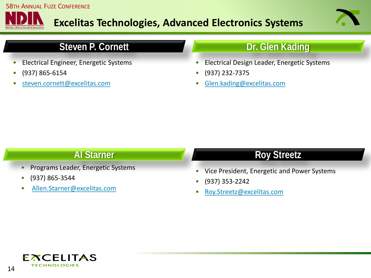

#### **Excelitas Technologies, Advanced Electronics Systems**



#### **Steven P. Cornett Dr. Glen Kading**

- Electrical Engineer, Energetic Systems
- (937) 865-6154
- [steven.cornett@excelitas.com](mailto:steven.cornett@excelitas.com)

- Electrical Design Leader, Energetic Systems
- (937) 232-7375
- [Glen.kading@excelitas.com](mailto:Glen.kading@excelitas.com)

- Programs Leader, Energetic Systems
- (937) 865-3544
- [Allen.Starner@excelitas.com](mailto:Allen.Starner@excelitas.com)

#### **Al Starner Roy Streetz**

- Vice President, Energetic and Power Systems
- (937) 353-2242
- [Roy.Streetz@excelitas.com](mailto:Roy.Streetz@excelitas.com)